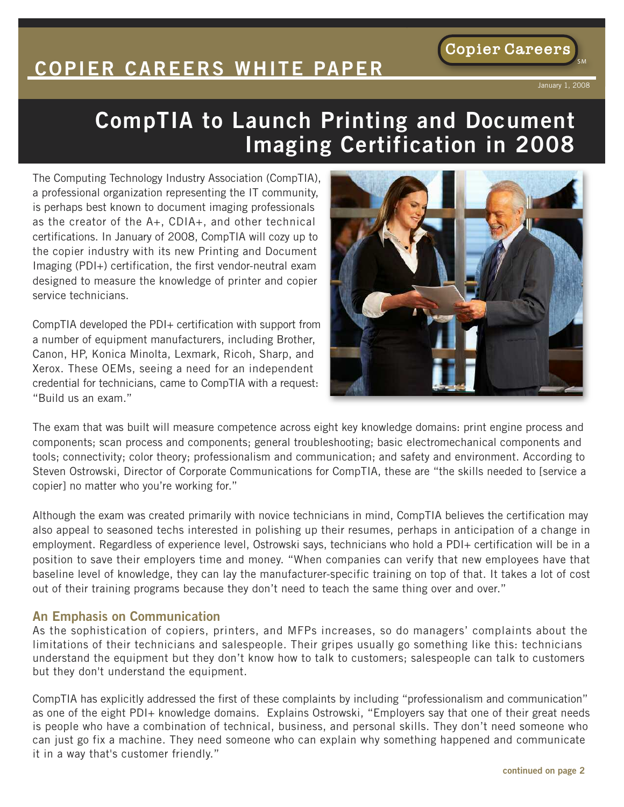# **COPIER CAREERS WHITE PAPER**

#### January 1, 2008

**Copier Careers** 

SM

## **CompTIA to Launch Printing and Document Imaging Certification in 2008**

The Computing Technology Industry Association (CompTIA), a professional organization representing the IT community, is perhaps best known to document imaging professionals as the creator of the A+, CDIA+, and other technical certifications. In January of 2008, CompTIA will cozy up to the copier industry with its new Printing and Document Imaging (PDI+) certification, the first vendor-neutral exam designed to measure the knowledge of printer and copier service technicians.

CompTIA developed the PDI+ certification with support from a number of equipment manufacturers, including Brother, Canon, HP, Konica Minolta, Lexmark, Ricoh, Sharp, and Xerox. These OEMs, seeing a need for an independent credential for technicians, came to CompTIA with a request: "Build us an exam."



The exam that was built will measure competence across eight key knowledge domains: print engine process and components; scan process and components; general troubleshooting; basic electromechanical components and tools; connectivity; color theory; professionalism and communication; and safety and environment. According to Steven Ostrowski, Director of Corporate Communications for CompTIA, these are "the skills needed to [service a copier] no matter who you're working for."

Although the exam was created primarily with novice technicians in mind, CompTIA believes the certification may also appeal to seasoned techs interested in polishing up their resumes, perhaps in anticipation of a change in employment. Regardless of experience level, Ostrowski says, technicians who hold a PDI+ certification will be in a position to save their employers time and money. "When companies can verify that new employees have that baseline level of knowledge, they can lay the manufacturer-specific training on top of that. It takes a lot of cost out of their training programs because they don't need to teach the same thing over and over."

#### **An Emphasis on Communication**

As the sophistication of copiers, printers, and MFPs increases, so do managers' complaints about the limitations of their technicians and salespeople. Their gripes usually go something like this: technicians understand the equipment but they don't know how to talk to customers; salespeople can talk to customers but they don't understand the equipment.

CompTIA has explicitly addressed the first of these complaints by including "professionalism and communication" as one of the eight PDI+ knowledge domains. Explains Ostrowski, "Employers say that one of their great needs is people who have a combination of technical, business, and personal skills. They don't need someone who can just go fix a machine. They need someone who can explain why something happened and communicate it in a way that's customer friendly."